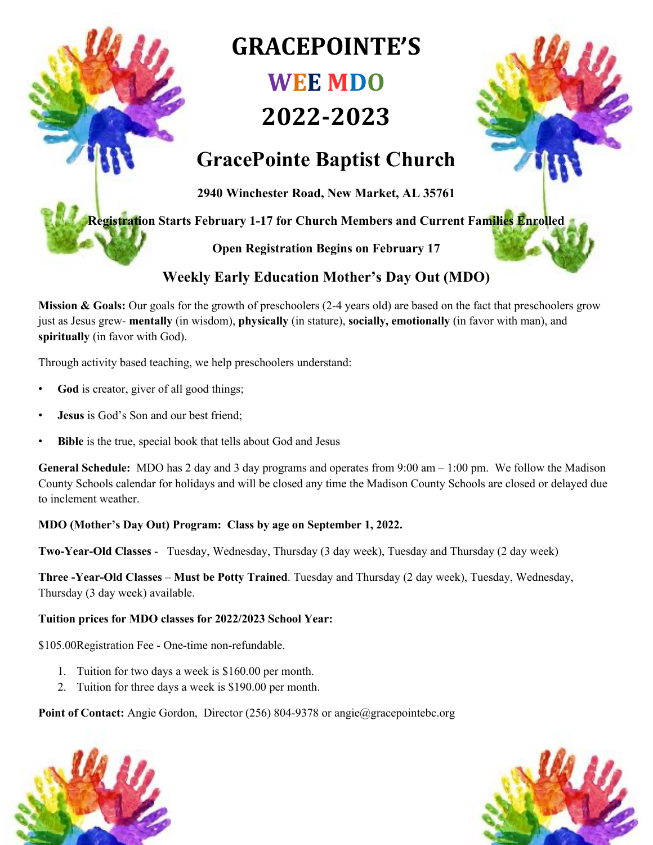# **GRACEPOINTE'S WEE MDO**

# **2022-2023**



### **GracePointe Baptist Church**

**2940 Winchester Road, New Market, AL 35761**

**Registration Starts February 1-17 for Church Members and Current Families Enrolled**

**Open Registration Begins on February 17**

### **Weekly Early Education Mother's Day Out (MDO)**

**Mission & Goals:** Our goals for the growth of preschoolers (2-4 years old) are based on the fact that preschoolers grow just as Jesus grew- **mentally** (in wisdom), **physically** (in stature), **socially, emotionally** (in favor with man), and **spiritually** (in favor with God).

Through activity based teaching, we help preschoolers understand:

- God is creator, giver of all good things;
- **Jesus** is God's Son and our best friend;
- **Bible** is the true, special book that tells about God and Jesus

**General Schedule:** MDO has 2 day and 3 day programs and operates from 9:00 am – 1:00 pm. We follow the Madison County Schools calendar for holidays and will be closed any time the Madison County Schools are closed or delayed due to inclement weather.

### **MDO (Mother's Day Out) Program: Class by age on September 1, 2022.**

**Two-Year-Old Classes** - Tuesday, Wednesday, Thursday (3 day week), Tuesday and Thursday (2 day week)

**Three -Year-Old Classes** – **Must be Potty Trained**. Tuesday and Thursday (2 day week), Tuesday, Wednesday, Thursday (3 day week) available.

### **Tuition prices for MDO classes for 2022/2023 School Year:**

\$105.00Registration Fee - One-time non-refundable.

- 1. Tuition for two days a week is \$160.00 per month.
- 2. Tuition for three days a week is \$190.00 per month.

**Point of Contact:** Angie Gordon, Director (256) 804-9378 or angie@gracepointebc.org